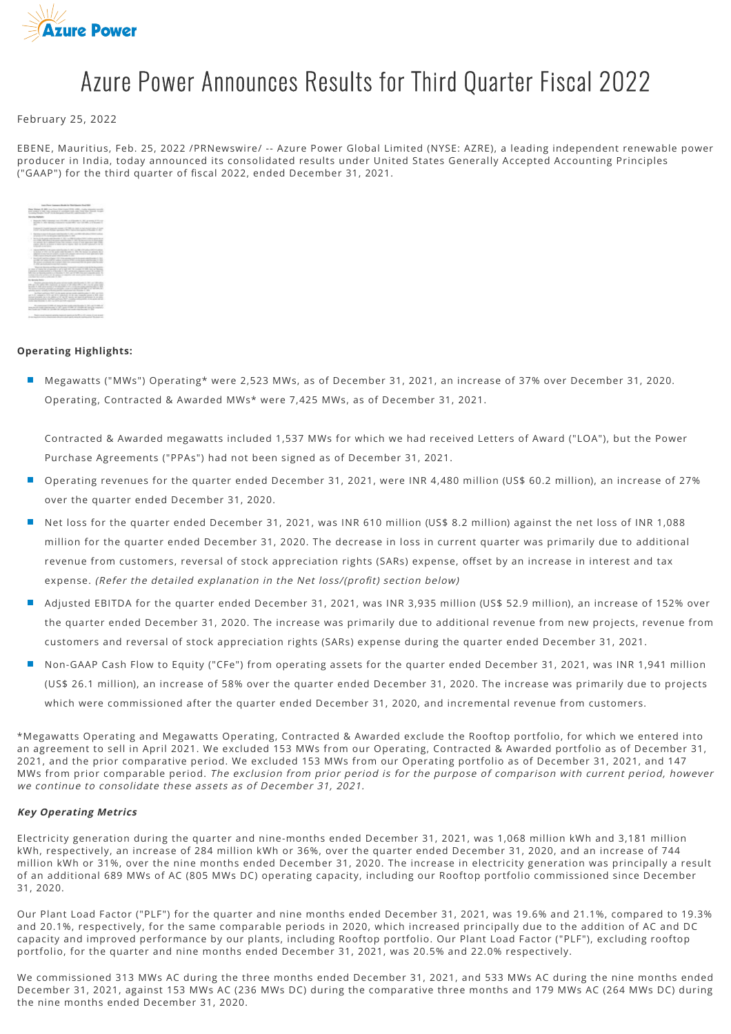

# Azure Power Announces Results for Third Quarter Fiscal 2022

February 25, 2022

EBENE, Mauritius, Feb. 25, 2022 /PRNewswire/ -- Azure Power Global Limited (NYSE: AZRE), a leading independent renewable power producer in India, today announced its consolidated results under United States Generally Accepted Accounting Principles ("GAAP") for the third quarter of fiscal 2022, ended December 31, 2021.

| an Autor Instrument Months for Elizabeths Avenuel Month 2011                                                                                                                                                                                                                                                                                                                                                                                                                                    |
|-------------------------------------------------------------------------------------------------------------------------------------------------------------------------------------------------------------------------------------------------------------------------------------------------------------------------------------------------------------------------------------------------------------------------------------------------------------------------------------------------|
| Fine Winner St. Mill can fine that I said MTN 1780. Cash Manager<br>they display is adv that contained it conditions and this filter than though to pay<br>throughly Principle (1933) 17 to the first group of four title, collections in 1983.                                                                                                                                                                                                                                                 |
| <b>Service Robins</b>                                                                                                                                                                                                                                                                                                                                                                                                                                                                           |
| Thermally TRIPPLY Collections And LOTATIONS, ALATEN collective Co., ISBN 48-44-040-02-22-22-22-22<br>declines in 1974 devices instrument competition are competitive, and decrease in                                                                                                                                                                                                                                                                                                           |
| Concord & majority counsels resided in the literature costs manager lights of the dis-<br>Control and Artists Editor Annually, Box Artists for Service Allisoners of New                                                                                                                                                                                                                                                                                                                        |
| The structure of a department of the state of the field of the state of the state of the field and the field of the field of the field of the field of the field of the field of the field of the field of the field of the fi<br>all sends with the between the factories in their                                                                                                                                                                                                             |
| be local entrangers was thoughts in this age that simultaned and a simulation and the simulation of<br>o m<br>to vide calculations are specialized to the famous since the property<br>the initial's die to additional system. Also consistes around at and appropriate state. Further<br>caption offer to an income or expect and the statement day attended to the first that the<br>with the contractor.                                                                                     |
| <b><i>Advised Market Avenue access</i></b><br>want for the 10 little car fills with<br>G H<br>as bottom of other cost the parties cold throught to other the design the affected states<br>×<br>additional strundar Paulo rate products, sprinted PPA, restations paid on recent of retail approximation rates<br>the company were the print contribution in the company of the con-                                                                                                            |
| $\sim$<br>South AP call for a light (1971) this producted by the posterior of the U.S.C.<br>An PR - 27 selling FR (2) a drive at money of the control and control and in 1970.<br>We minor an electronic de to proprio della sua communicazione dei governmente con con-<br>10. 2000. And the transit product for electric details of a statement of a firm of the local                                                                                                                        |
| The con-boxes are finance langer to pay it is easily index to be had a partie<br>as sales or choice to a potential is of a ball shit for a coup or with the as-Martinia<br>Concerted models within a climater to this agree and changes with the culture. To<br>and they are the product and the product of the second and the state and controlled and the<br>a book and the select to the second construction of the second policy and the con-<br>concept will provide a determined by their |
| <b>Burdensie Sens-</b>                                                                                                                                                                                                                                                                                                                                                                                                                                                                          |
| Southern constitute design by course with an estate country for any country of the collection<br>(M) an (10), advantage expects at more of the other this at the cases what<br>business in this agreement of the plantificant in analysis with a published in 1978.<br>The parents to decrease approach to previously a state of a vehicle of the case of the series of a<br>service capital dealers in the country and the company of the change in the                                        |
| the first tradition of \$2.5 to do your car as well as a set of the top of the con-<br>and \$1.00, complete to \$1.00 per \$1.00, expected, in \$6 cash companies priced as \$100, enters<br>level stand at the state of the state of the state of the state of the state of the state.<br>analyze fundamental charitage currence that is a subsequently analyze as to access at the<br>books rates through 1. Also we will pay that standard                                                   |
| \$1. Constitution of Constitution of Constitution of the constitution of the Constitution of the Constitution of<br>them been really that the same of the seasons with a closely between a common<br>they bench your PP after of 1 city show the state to see a wide collect buying the dirty                                                                                                                                                                                                   |
| butterile automa (respective case) and the RTA or Will extract of your acquisit<br>a lot shall work. All to be contracted by the print of                                                                                                                                                                                                                                                                                                                                                       |

# **Operating Highlights:**

■ Megawatts ("MWs") Operating\* were 2,523 MWs, as of December 31, 2021, an increase of 37% over December 31, 2020. Operating, Contracted & Awarded MWs\* were 7,425 MWs, as of December 31, 2021.

Contracted & Awarded megawatts included 1,537 MWs for which we had received Letters of Award ("LOA"), but the Power Purchase Agreements ("PPAs") had not been signed as of December 31, 2021.

- Operating revenues for the quarter ended December 31, 2021, were INR 4,480 million (US\$ 60.2 million), an increase of 27% over the quarter ended December 31, 2020.
- Net loss for the quarter ended December 31, 2021, was INR 610 million (US\$ 8.2 million) against the net loss of INR 1,088 million for the quarter ended December 31, 2020. The decrease in loss in current quarter was primarily due to additional revenue from customers, reversal of stock appreciation rights (SARs) expense, offset by an increase in interest and tax expense. (Refer the detailed explanation in the Net loss/(profit) section below)
- Adjusted EBITDA for the quarter ended December 31, 2021, was INR 3,935 million (US\$ 52.9 million), an increase of 152% over the quarter ended December 31, 2020. The increase was primarily due to additional revenue from new projects, revenue from customers and reversal of stock appreciation rights (SARs) expense during the quarter ended December 31, 2021.
- Non-GAAP Cash Flow to Equity ("CFe") from operating assets for the quarter ended December 31, 2021, was INR 1,941 million (US\$ 26.1 million), an increase of 58% over the quarter ended December 31, 2020. The increase was primarily due to projects which were commissioned after the quarter ended December 31, 2020, and incremental revenue from customers.

\*Megawatts Operating and Megawatts Operating, Contracted & Awarded exclude the Rooftop portfolio, for which we entered into an agreement to sell in April 2021. We excluded 153 MWs from our Operating, Contracted & Awarded portfolio as of December 31, 2021, and the prior comparative period. We excluded 153 MWs from our Operating portfolio as of December 31, 2021, and 147 MWs from prior comparable period. The exclusion from prior period is for the purpose of comparison with current period, however we continue to consolidate these assets as of December 31, 2021.

#### **Key Operating Metrics**

Electricity generation during the quarter and nine-months ended December 31, 2021, was 1,068 million kWh and 3,181 million kWh, respectively, an increase of 284 million kWh or 36%, over the quarter ended December 31, 2020, and an increase of 744 million kWh or 31%, over the nine months ended December 31, 2020. The increase in electricity generation was principally a result of an additional 689 MWs of AC (805 MWs DC) operating capacity, including our Rooftop portfolio commissioned since December 31, 2020.

Our Plant Load Factor ("PLF") for the quarter and nine months ended December 31, 2021, was 19.6% and 21.1%, compared to 19.3% and 20.1%, respectively, for the same comparable periods in 2020, which increased principally due to the addition of AC and DC capacity and improved performance by our plants, including Rooftop portfolio. Our Plant Load Factor ("PLF"), excluding rooftop portfolio, for the quarter and nine months ended December 31, 2021, was 20.5% and 22.0% respectively.

We commissioned 313 MWs AC during the three months ended December 31, 2021, and 533 MWs AC during the nine months ended December 31, 2021, against 153 MWs AC (236 MWs DC) during the comparative three months and 179 MWs AC (264 MWs DC) during the nine months ended December 31, 2020.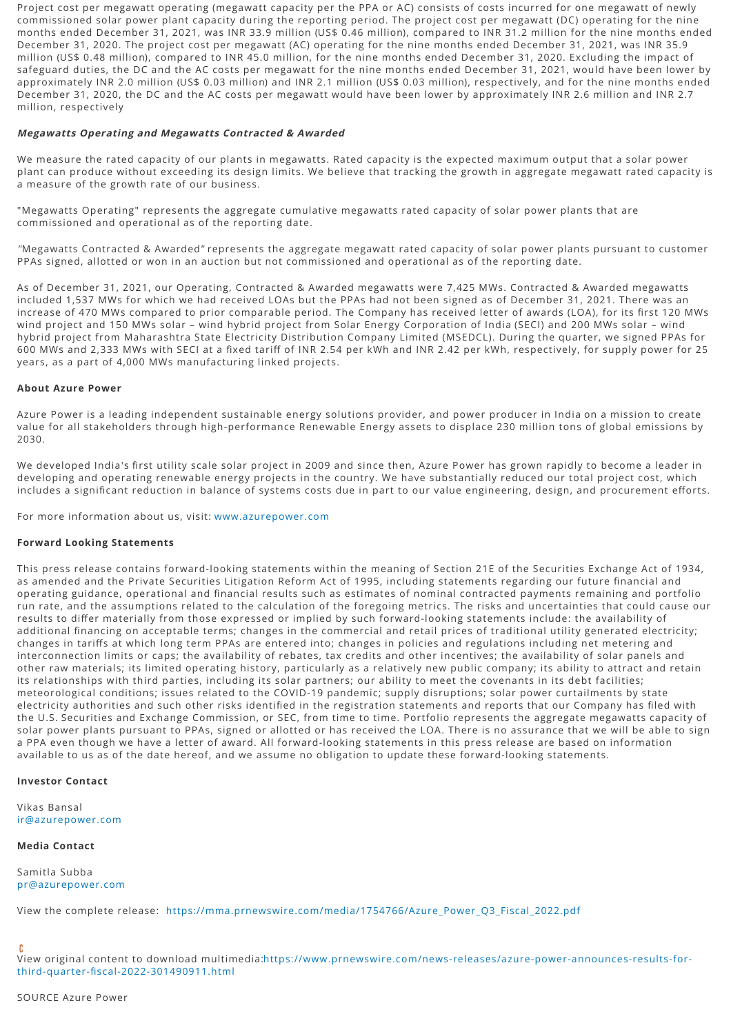Project cost per megawatt operating (megawatt capacity per the PPA or AC) consists of costs incurred for one megawatt of newly commissioned solar power plant capacity during the reporting period. The project cost per megawatt (DC) operating for the nine months ended December 31, 2021, was INR 33.9 million (US\$ 0.46 million), compared to INR 31.2 million for the nine months ended December 31, 2020. The project cost per megawatt (AC) operating for the nine months ended December 31, 2021, was INR 35.9 million (US\$ 0.48 million), compared to INR 45.0 million, for the nine months ended December 31, 2020. Excluding the impact of safeguard duties, the DC and the AC costs per megawatt for the nine months ended December 31, 2021, would have been lower by approximately INR 2.0 million (US\$ 0.03 million) and INR 2.1 million (US\$ 0.03 million), respectively, and for the nine months ended December 31, 2020, the DC and the AC costs per megawatt would have been lower by approximately INR 2.6 million and INR 2.7 million, respectively

#### **Megawatts Operating and Megawatts Contracted & Awarded**

We measure the rated capacity of our plants in megawatts. Rated capacity is the expected maximum output that a solar power plant can produce without exceeding its design limits. We believe that tracking the growth in aggregate megawatt rated capacity is a measure of the growth rate of our business.

"Megawatts Operating" represents the aggregate cumulative megawatts rated capacity of solar power plants that are commissioned and operational as of the reporting date.

"Megawatts Contracted & Awarded" represents the aggregate megawatt rated capacity of solar power plants pursuant to customer PPAs signed, allotted or won in an auction but not commissioned and operational as of the reporting date.

As of December 31, 2021, our Operating, Contracted & Awarded megawatts were 7,425 MWs. Contracted & Awarded megawatts included 1,537 MWs for which we had received LOAs but the PPAs had not been signed as of December 31, 2021. There was an increase of 470 MWs compared to prior comparable period. The Company has received letter of awards (LOA), for its first 120 MWs wind project and 150 MWs solar – wind hybrid project from Solar Energy Corporation of India (SECI) and 200 MWs solar – wind hybrid project from Maharashtra State Electricity Distribution Company Limited (MSEDCL). During the quarter, we signed PPAs for 600 MWs and 2.333 MWs with SECI at a fixed tariff of INR 2.54 per kWh and INR 2.42 per kWh, respectively, for supply power for 25 years, as a part of 4,000 MWs manufacturing linked projects.

#### **About Azure Power**

Azure Power is a leading independent sustainable energy solutions provider, and power producer in India on a mission to create value for all stakeholders through high-performance Renewable Energy assets to displace 230 million tons of global emissions by 2030.

We developed India's first utility scale solar project in 2009 and since then, Azure Power has grown rapidly to become a leader in developing and operating renewable energy projects in the country. We have substantially reduced our total project cost, which includes a significant reduction in balance of systems costs due in part to our value engineering, design, and procurement efforts.

For more information about us, visit: [www.azurepower.com](http://www.azurepower.com/)

## **Forward Looking Statements**

This press release contains forward-looking statements within the meaning of Section 21E of the Securities Exchange Act of 1934, as amended and the Private Securities Litigation Reform Act of 1995, including statements regarding our future financial and operating guidance, operational and financial results such as estimates of nominal contracted payments remaining and portfolio run rate, and the assumptions related to the calculation of the foregoing metrics. The risks and uncertainties that could cause our results to differ materially from those expressed or implied by such forward-looking statements include: the availability of additional financing on acceptable terms; changes in the commercial and retail prices of traditional utility generated electricity; changes in tariffs at which long term PPAs are entered into; changes in policies and regulations including net metering and interconnection limits or caps; the availability of rebates, tax credits and other incentives; the availability of solar panels and other raw materials; its limited operating history, particularly as a relatively new public company; its ability to attract and retain its relationships with third parties, including its solar partners; our ability to meet the covenants in its debt facilities; meteorological conditions; issues related to the COVID-19 pandemic; supply disruptions; solar power curtailments by state electricity authorities and such other risks identified in the registration statements and reports that our Company has filed with the U.S. Securities and Exchange Commission, or SEC, from time to time. Portfolio represents the aggregate megawatts capacity of solar power plants pursuant to PPAs, signed or allotted or has received the LOA. There is no assurance that we will be able to sign a PPA even though we have a letter of award. All forward-looking statements in this press release are based on information available to us as of the date hereof, and we assume no obligation to update these forward-looking statements.

### **Investor Contact**

Vikas Bansal [ir@azurepower.com](mailto:ir@azurepower.com)

#### **Media Contact**

Samitla Subba [pr@azurepower.com](mailto:pr@azurepower.com)

View the complete release: [https://mma.prnewswire.com/media/1754766/Azure\\_Power\\_Q3\\_Fiscal\\_2022.pdf](https://mma.prnewswire.com/media/1754766/Azure_Power_Q3_Fiscal_2022.pdf)

[View original content to download multimedia:https://www.prnewswire.com/news-releases/azure-power-announces-results-for](https://www.prnewswire.com/news-releases/azure-power-announces-results-for-third-quarter-fiscal-2022-301490911.html)third-quarter-fiscal-2022-301490911.html